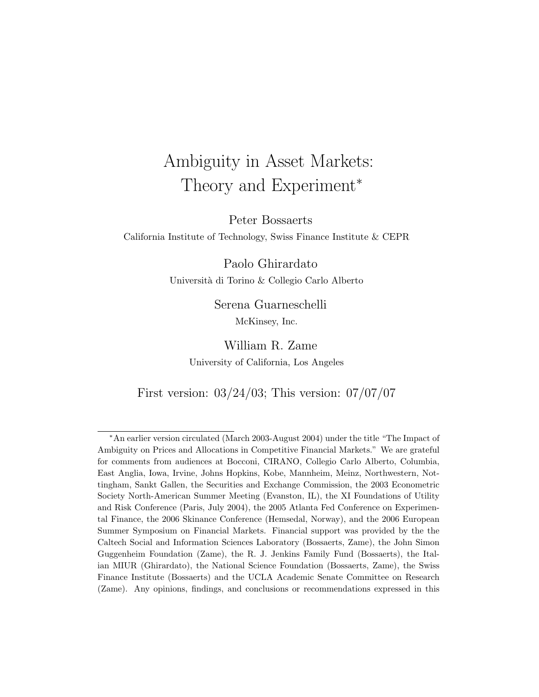# Ambiguity in Asset Markets: Theory and Experiment<sup>\*</sup>

Peter Bossaerts

California Institute of Technology, Swiss Finance Institute & CEPR

Paolo Ghirardato Universit`a di Torino & Collegio Carlo Alberto

> Serena Guarneschelli McKinsey, Inc.

William R. Zame University of California, Los Angeles

First version: 03/24/03; This version: 07/07/07

<sup>∗</sup>An earlier version circulated (March 2003-August 2004) under the title "The Impact of Ambiguity on Prices and Allocations in Competitive Financial Markets." We are grateful for comments from audiences at Bocconi, CIRANO, Collegio Carlo Alberto, Columbia, East Anglia, Iowa, Irvine, Johns Hopkins, Kobe, Mannheim, Meinz, Northwestern, Nottingham, Sankt Gallen, the Securities and Exchange Commission, the 2003 Econometric Society North-American Summer Meeting (Evanston, IL), the XI Foundations of Utility and Risk Conference (Paris, July 2004), the 2005 Atlanta Fed Conference on Experimental Finance, the 2006 Skinance Conference (Hemsedal, Norway), and the 2006 European Summer Symposium on Financial Markets. Financial support was provided by the the Caltech Social and Information Sciences Laboratory (Bossaerts, Zame), the John Simon Guggenheim Foundation (Zame), the R. J. Jenkins Family Fund (Bossaerts), the Italian MIUR (Ghirardato), the National Science Foundation (Bossaerts, Zame), the Swiss Finance Institute (Bossaerts) and the UCLA Academic Senate Committee on Research (Zame). Any opinions, findings, and conclusions or recommendations expressed in this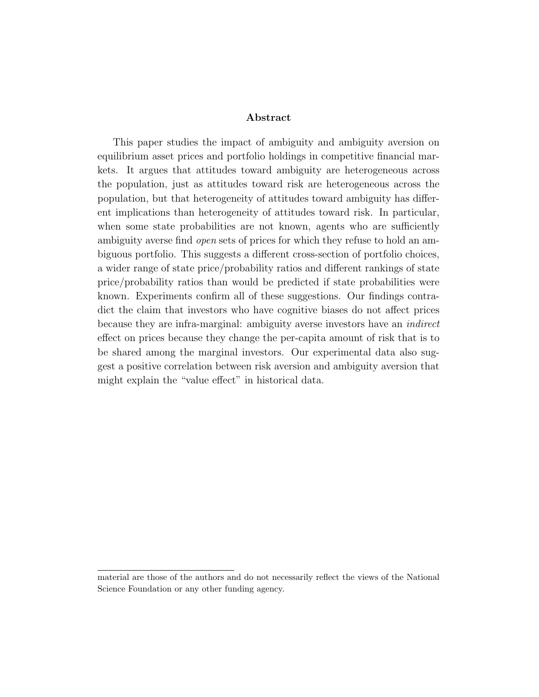#### Abstract

This paper studies the impact of ambiguity and ambiguity aversion on equilibrium asset prices and portfolio holdings in competitive financial markets. It argues that attitudes toward ambiguity are heterogeneous across the population, just as attitudes toward risk are heterogeneous across the population, but that heterogeneity of attitudes toward ambiguity has different implications than heterogeneity of attitudes toward risk. In particular, when some state probabilities are not known, agents who are sufficiently ambiguity averse find open sets of prices for which they refuse to hold an ambiguous portfolio. This suggests a different cross-section of portfolio choices, a wider range of state price/probability ratios and different rankings of state price/probability ratios than would be predicted if state probabilities were known. Experiments confirm all of these suggestions. Our findings contradict the claim that investors who have cognitive biases do not affect prices because they are infra-marginal: ambiguity averse investors have an indirect effect on prices because they change the per-capita amount of risk that is to be shared among the marginal investors. Our experimental data also suggest a positive correlation between risk aversion and ambiguity aversion that might explain the "value effect" in historical data.

material are those of the authors and do not necessarily reflect the views of the National Science Foundation or any other funding agency.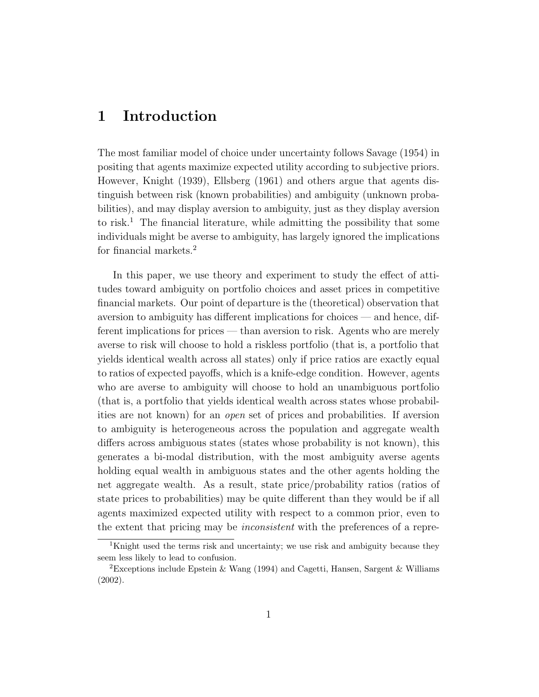### 1 Introduction

The most familiar model of choice under uncertainty follows Savage (1954) in positing that agents maximize expected utility according to subjective priors. However, Knight (1939), Ellsberg (1961) and others argue that agents distinguish between risk (known probabilities) and ambiguity (unknown probabilities), and may display aversion to ambiguity, just as they display aversion to risk.<sup>1</sup> The financial literature, while admitting the possibility that some individuals might be averse to ambiguity, has largely ignored the implications for financial markets.<sup>2</sup>

In this paper, we use theory and experiment to study the effect of attitudes toward ambiguity on portfolio choices and asset prices in competitive financial markets. Our point of departure is the (theoretical) observation that aversion to ambiguity has different implications for choices — and hence, different implications for prices — than aversion to risk. Agents who are merely averse to risk will choose to hold a riskless portfolio (that is, a portfolio that yields identical wealth across all states) only if price ratios are exactly equal to ratios of expected payoffs, which is a knife-edge condition. However, agents who are averse to ambiguity will choose to hold an unambiguous portfolio (that is, a portfolio that yields identical wealth across states whose probabilities are not known) for an open set of prices and probabilities. If aversion to ambiguity is heterogeneous across the population and aggregate wealth differs across ambiguous states (states whose probability is not known), this generates a bi-modal distribution, with the most ambiguity averse agents holding equal wealth in ambiguous states and the other agents holding the net aggregate wealth. As a result, state price/probability ratios (ratios of state prices to probabilities) may be quite different than they would be if all agents maximized expected utility with respect to a common prior, even to the extent that pricing may be inconsistent with the preferences of a repre-

<sup>&</sup>lt;sup>1</sup>Knight used the terms risk and uncertainty; we use risk and ambiguity because they seem less likely to lead to confusion.

<sup>&</sup>lt;sup>2</sup>Exceptions include Epstein & Wang (1994) and Cagetti, Hansen, Sargent & Williams (2002).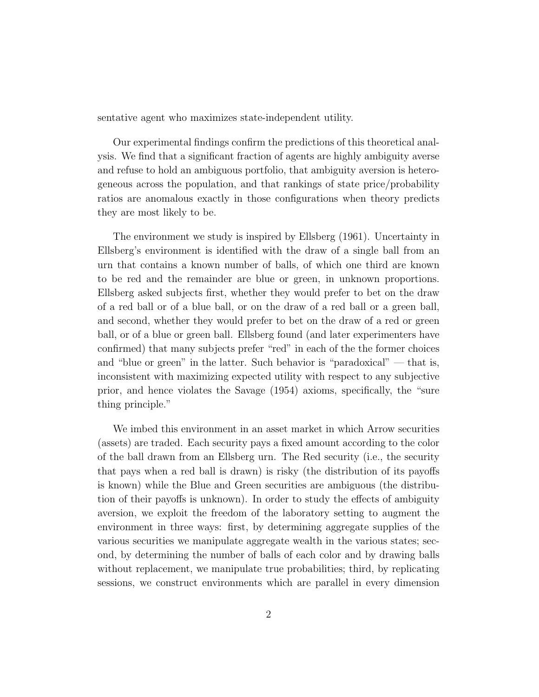sentative agent who maximizes state-independent utility.

Our experimental findings confirm the predictions of this theoretical analysis. We find that a significant fraction of agents are highly ambiguity averse and refuse to hold an ambiguous portfolio, that ambiguity aversion is heterogeneous across the population, and that rankings of state price/probability ratios are anomalous exactly in those configurations when theory predicts they are most likely to be.

The environment we study is inspired by Ellsberg (1961). Uncertainty in Ellsberg's environment is identified with the draw of a single ball from an urn that contains a known number of balls, of which one third are known to be red and the remainder are blue or green, in unknown proportions. Ellsberg asked subjects first, whether they would prefer to bet on the draw of a red ball or of a blue ball, or on the draw of a red ball or a green ball, and second, whether they would prefer to bet on the draw of a red or green ball, or of a blue or green ball. Ellsberg found (and later experimenters have confirmed) that many subjects prefer "red" in each of the the former choices and "blue or green" in the latter. Such behavior is "paradoxical" — that is, inconsistent with maximizing expected utility with respect to any subjective prior, and hence violates the Savage (1954) axioms, specifically, the "sure thing principle."

We imbed this environment in an asset market in which Arrow securities (assets) are traded. Each security pays a fixed amount according to the color of the ball drawn from an Ellsberg urn. The Red security (i.e., the security that pays when a red ball is drawn) is risky (the distribution of its payoffs is known) while the Blue and Green securities are ambiguous (the distribution of their payoffs is unknown). In order to study the effects of ambiguity aversion, we exploit the freedom of the laboratory setting to augment the environment in three ways: first, by determining aggregate supplies of the various securities we manipulate aggregate wealth in the various states; second, by determining the number of balls of each color and by drawing balls without replacement, we manipulate true probabilities; third, by replicating sessions, we construct environments which are parallel in every dimension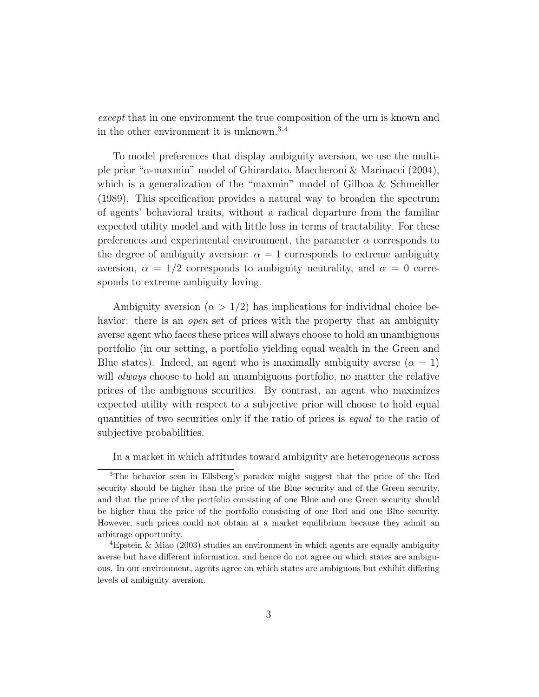except that in one environment the true composition of the urn is known and in the other environment it is unknown.<sup>3</sup>,<sup>4</sup>

To model preferences that display ambiguity aversion, we use the multiple prior "α-maxmin" model of Ghirardato, Maccheroni & Marinacci (2004), which is a generalization of the "maxmin" model of Gilboa & Schmeidler (1989). This specification provides a natural way to broaden the spectrum of agents' behavioral traits, without a radical departure from the familiar expected utility model and with little loss in terms of tractability. For these preferences and experimental environment, the parameter  $\alpha$  corresponds to the degree of ambiguity aversion:  $\alpha = 1$  corresponds to extreme ambiguity aversion,  $\alpha = 1/2$  corresponds to ambiguity neutrality, and  $\alpha = 0$  corresponds to extreme ambiguity loving.

Ambiguity aversion ( $\alpha > 1/2$ ) has implications for individual choice behavior: there is an *open* set of prices with the property that an ambiguity averse agent who faces these prices will always choose to hold an unambiguous portfolio (in our setting, a portfolio yielding equal wealth in the Green and Blue states). Indeed, an agent who is maximally ambiguity averse  $(\alpha = 1)$ will *always* choose to hold an unambiguous portfolio, no matter the relative prices of the ambiguous securities. By contrast, an agent who maximizes expected utility with respect to a subjective prior will choose to hold equal quantities of two securities only if the ratio of prices is equal to the ratio of subjective probabilities.

In a market in which attitudes toward ambiguity are heterogeneous across

<sup>3</sup>The behavior seen in Ellsberg's paradox might suggest that the price of the Red security should be higher than the price of the Blue security and of the Green security, and that the price of the portfolio consisting of one Blue and one Green security should be higher than the price of the portfolio consisting of one Red and one Blue security. However, such prices could not obtain at a market equilibrium because they admit an arbitrage opportunity.

<sup>&</sup>lt;sup>4</sup>Epstein & Miao (2003) studies an environment in which agents are equally ambiguity averse but have different information, and hence do not agree on which states are ambiguous. In our environment, agents agree on which states are ambiguous but exhibit differing levels of ambiguity aversion.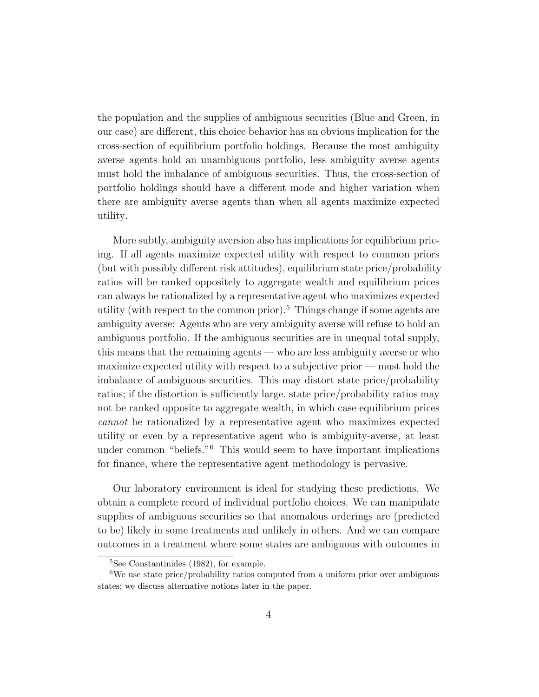the population and the supplies of ambiguous securities (Blue and Green, in our case) are different, this choice behavior has an obvious implication for the cross-section of equilibrium portfolio holdings. Because the most ambiguity averse agents hold an unambiguous portfolio, less ambiguity averse agents must hold the imbalance of ambiguous securities. Thus, the cross-section of portfolio holdings should have a different mode and higher variation when there are ambiguity averse agents than when all agents maximize expected utility.

More subtly, ambiguity aversion also has implications for equilibrium pricing. If all agents maximize expected utility with respect to common priors (but with possibly different risk attitudes), equilibrium state price/probability ratios will be ranked oppositely to aggregate wealth and equilibrium prices can always be rationalized by a representative agent who maximizes expected utility (with respect to the common prior).<sup>5</sup> Things change if some agents are ambiguity averse: Agents who are very ambiguity averse will refuse to hold an ambiguous portfolio. If the ambiguous securities are in unequal total supply, this means that the remaining agents — who are less ambiguity averse or who maximize expected utility with respect to a subjective prior — must hold the imbalance of ambiguous securities. This may distort state price/probability ratios; if the distortion is sufficiently large, state price/probability ratios may not be ranked opposite to aggregate wealth, in which case equilibrium prices cannot be rationalized by a representative agent who maximizes expected utility or even by a representative agent who is ambiguity-averse, at least under common "beliefs."<sup>6</sup> This would seem to have important implications for finance, where the representative agent methodology is pervasive.

Our laboratory environment is ideal for studying these predictions. We obtain a complete record of individual portfolio choices. We can manipulate supplies of ambiguous securities so that anomalous orderings are (predicted to be) likely in some treatments and unlikely in others. And we can compare outcomes in a treatment where some states are ambiguous with outcomes in

<sup>5</sup>See Constantinides (1982), for example.

<sup>6</sup>We use state price/probability ratios computed from a uniform prior over ambiguous states; we discuss alternative notions later in the paper.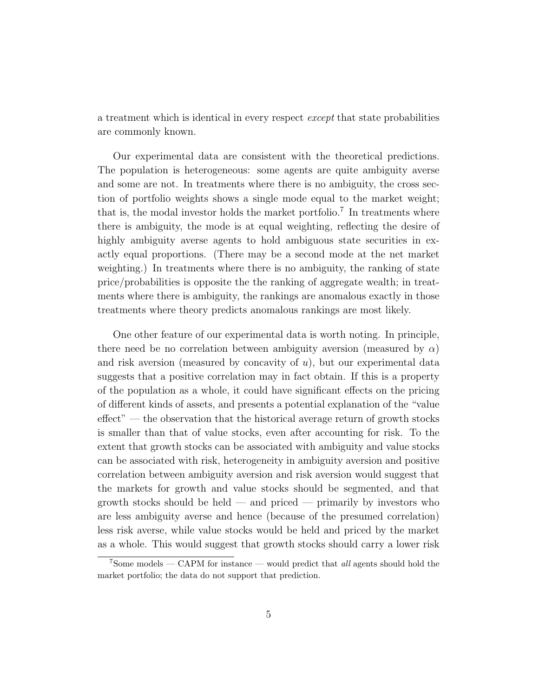a treatment which is identical in every respect except that state probabilities are commonly known.

Our experimental data are consistent with the theoretical predictions. The population is heterogeneous: some agents are quite ambiguity averse and some are not. In treatments where there is no ambiguity, the cross section of portfolio weights shows a single mode equal to the market weight; that is, the modal investor holds the market portfolio.<sup>7</sup> In treatments where there is ambiguity, the mode is at equal weighting, reflecting the desire of highly ambiguity averse agents to hold ambiguous state securities in exactly equal proportions. (There may be a second mode at the net market weighting.) In treatments where there is no ambiguity, the ranking of state price/probabilities is opposite the the ranking of aggregate wealth; in treatments where there is ambiguity, the rankings are anomalous exactly in those treatments where theory predicts anomalous rankings are most likely.

One other feature of our experimental data is worth noting. In principle, there need be no correlation between ambiguity aversion (measured by  $\alpha$ ) and risk aversion (measured by concavity of  $u$ ), but our experimental data suggests that a positive correlation may in fact obtain. If this is a property of the population as a whole, it could have significant effects on the pricing of different kinds of assets, and presents a potential explanation of the "value effect" — the observation that the historical average return of growth stocks is smaller than that of value stocks, even after accounting for risk. To the extent that growth stocks can be associated with ambiguity and value stocks can be associated with risk, heterogeneity in ambiguity aversion and positive correlation between ambiguity aversion and risk aversion would suggest that the markets for growth and value stocks should be segmented, and that growth stocks should be held  $-$  and priced  $-$  primarily by investors who are less ambiguity averse and hence (because of the presumed correlation) less risk averse, while value stocks would be held and priced by the market as a whole. This would suggest that growth stocks should carry a lower risk

 $7$ Some models — CAPM for instance — would predict that *all* agents should hold the market portfolio; the data do not support that prediction.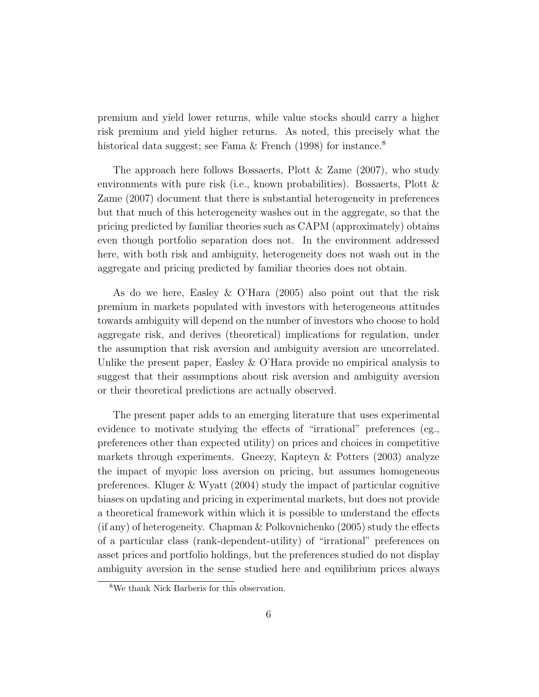premium and yield lower returns, while value stocks should carry a higher risk premium and yield higher returns. As noted, this precisely what the historical data suggest; see Fama & French (1998) for instance.<sup>8</sup>

The approach here follows Bossaerts, Plott & Zame (2007), who study environments with pure risk (i.e., known probabilities). Bossaerts, Plott & Zame (2007) document that there is substantial heterogeneity in preferences but that much of this heterogeneity washes out in the aggregate, so that the pricing predicted by familiar theories such as CAPM (approximately) obtains even though portfolio separation does not. In the environment addressed here, with both risk and ambiguity, heterogeneity does not wash out in the aggregate and pricing predicted by familiar theories does not obtain.

As do we here, Easley & O'Hara (2005) also point out that the risk premium in markets populated with investors with heterogeneous attitudes towards ambiguity will depend on the number of investors who choose to hold aggregate risk, and derives (theoretical) implications for regulation, under the assumption that risk aversion and ambiguity aversion are uncorrelated. Unlike the present paper, Easley & O'Hara provide no empirical analysis to suggest that their assumptions about risk aversion and ambiguity aversion or their theoretical predictions are actually observed.

The present paper adds to an emerging literature that uses experimental evidence to motivate studying the effects of "irrational" preferences (eg., preferences other than expected utility) on prices and choices in competitive markets through experiments. Gneezy, Kapteyn & Potters (2003) analyze the impact of myopic loss aversion on pricing, but assumes homogeneous preferences. Kluger & Wyatt (2004) study the impact of particular cognitive biases on updating and pricing in experimental markets, but does not provide a theoretical framework within which it is possible to understand the effects (if any) of heterogeneity. Chapman & Polkovnichenko (2005) study the effects of a particular class (rank-dependent-utility) of "irrational" preferences on asset prices and portfolio holdings, but the preferences studied do not display ambiguity aversion in the sense studied here and equilibrium prices always

<sup>8</sup>We thank Nick Barberis for this observation.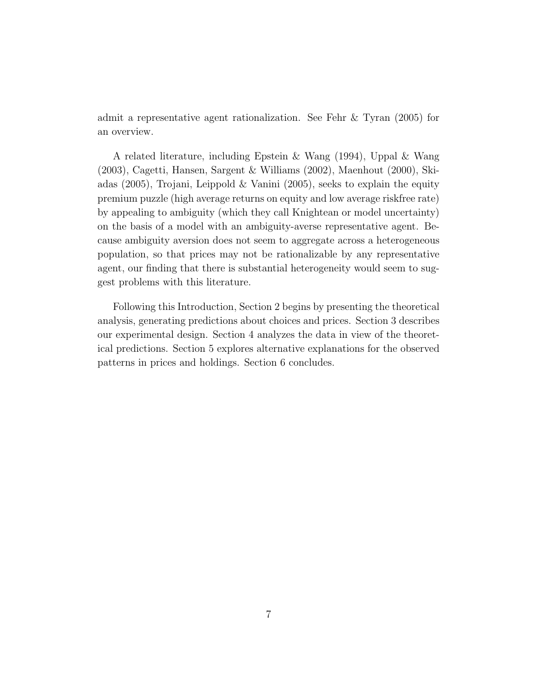admit a representative agent rationalization. See Fehr & Tyran (2005) for an overview.

A related literature, including Epstein & Wang (1994), Uppal & Wang (2003), Cagetti, Hansen, Sargent & Williams (2002), Maenhout (2000), Skiadas (2005), Trojani, Leippold & Vanini (2005), seeks to explain the equity premium puzzle (high average returns on equity and low average riskfree rate) by appealing to ambiguity (which they call Knightean or model uncertainty) on the basis of a model with an ambiguity-averse representative agent. Because ambiguity aversion does not seem to aggregate across a heterogeneous population, so that prices may not be rationalizable by any representative agent, our finding that there is substantial heterogeneity would seem to suggest problems with this literature.

Following this Introduction, Section 2 begins by presenting the theoretical analysis, generating predictions about choices and prices. Section 3 describes our experimental design. Section 4 analyzes the data in view of the theoretical predictions. Section 5 explores alternative explanations for the observed patterns in prices and holdings. Section 6 concludes.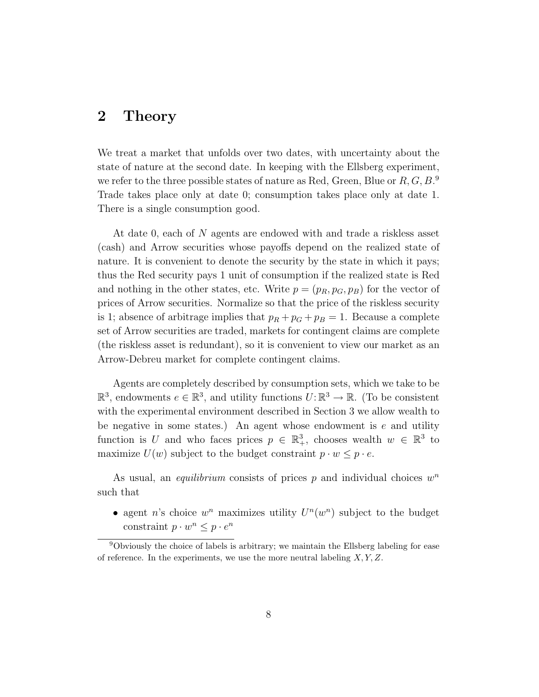### 2 Theory

We treat a market that unfolds over two dates, with uncertainty about the state of nature at the second date. In keeping with the Ellsberg experiment, we refer to the three possible states of nature as Red, Green, Blue or  $R, G, B$ .<sup>9</sup> Trade takes place only at date 0; consumption takes place only at date 1. There is a single consumption good.

At date 0, each of N agents are endowed with and trade a riskless asset (cash) and Arrow securities whose payoffs depend on the realized state of nature. It is convenient to denote the security by the state in which it pays; thus the Red security pays 1 unit of consumption if the realized state is Red and nothing in the other states, etc. Write  $p = (p_R, p_G, p_B)$  for the vector of prices of Arrow securities. Normalize so that the price of the riskless security is 1; absence of arbitrage implies that  $p_R + p_G + p_B = 1$ . Because a complete set of Arrow securities are traded, markets for contingent claims are complete (the riskless asset is redundant), so it is convenient to view our market as an Arrow-Debreu market for complete contingent claims.

Agents are completely described by consumption sets, which we take to be  $\mathbb{R}^3$ , endowments  $e \in \mathbb{R}^3$ , and utility functions  $U: \mathbb{R}^3 \to \mathbb{R}$ . (To be consistent with the experimental environment described in Section 3 we allow wealth to be negative in some states.) An agent whose endowment is  $e$  and utility function is U and who faces prices  $p \in \mathbb{R}^3_+$ , chooses wealth  $w \in \mathbb{R}^3$  to maximize  $U(w)$  subject to the budget constraint  $p \cdot w \leq p \cdot e$ .

As usual, an *equilibrium* consists of prices  $p$  and individual choices  $w<sup>n</sup>$ such that

• agent n's choice  $w^n$  maximizes utility  $U^n(w^n)$  subject to the budget constraint  $p \cdot w^n \leq p \cdot e^n$ 

<sup>&</sup>lt;sup>9</sup>Obviously the choice of labels is arbitrary; we maintain the Ellsberg labeling for ease of reference. In the experiments, we use the more neutral labeling  $X, Y, Z$ .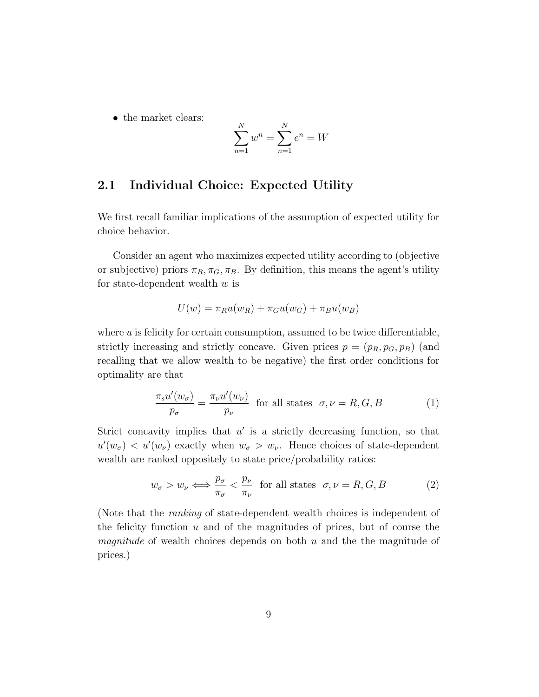• the market clears:

$$
\sum_{n=1}^{N} w^n = \sum_{n=1}^{N} e^n = W
$$

#### 2.1 Individual Choice: Expected Utility

We first recall familiar implications of the assumption of expected utility for choice behavior.

Consider an agent who maximizes expected utility according to (objective or subjective) priors  $\pi_R, \pi_G, \pi_B$ . By definition, this means the agent's utility for state-dependent wealth  $w$  is

$$
U(w) = \pi_R u(w_R) + \pi_G u(w_G) + \pi_B u(w_B)
$$

where  $u$  is felicity for certain consumption, assumed to be twice differentiable, strictly increasing and strictly concave. Given prices  $p = (p_R, p_G, p_B)$  (and recalling that we allow wealth to be negative) the first order conditions for optimality are that

$$
\frac{\pi_s u'(w_\sigma)}{p_\sigma} = \frac{\pi_\nu u'(w_\nu)}{p_\nu} \quad \text{for all states} \quad \sigma, \nu = R, G, B \tag{1}
$$

Strict concavity implies that  $u'$  is a strictly decreasing function, so that  $u'(w_{\sigma}) < u'(w_{\nu})$  exactly when  $w_{\sigma} > w_{\nu}$ . Hence choices of state-dependent wealth are ranked oppositely to state price/probability ratios:

$$
w_{\sigma} > w_{\nu} \Longleftrightarrow \frac{p_{\sigma}}{\pi_{\sigma}} < \frac{p_{\nu}}{\pi_{\nu}} \quad \text{for all states} \quad \sigma, \nu = R, G, B \tag{2}
$$

(Note that the ranking of state-dependent wealth choices is independent of the felicity function  $u$  and of the magnitudes of prices, but of course the *magnitude* of wealth choices depends on both  $u$  and the the magnitude of prices.)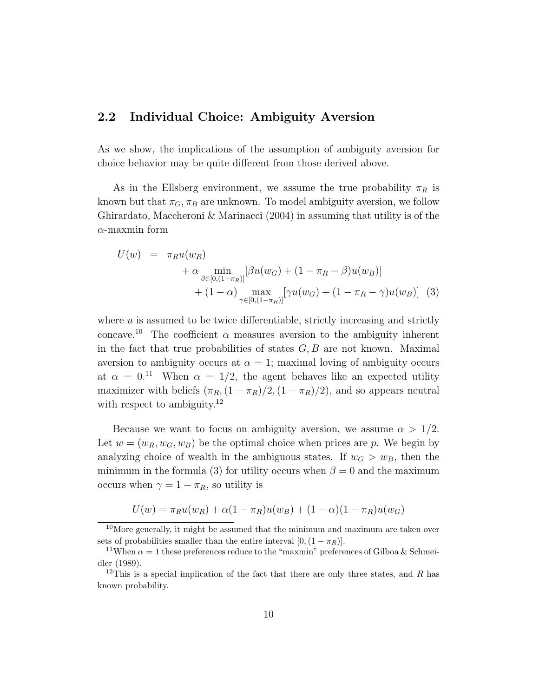#### 2.2 Individual Choice: Ambiguity Aversion

As we show, the implications of the assumption of ambiguity aversion for choice behavior may be quite different from those derived above.

As in the Ellsberg environment, we assume the true probability  $\pi_R$  is known but that  $\pi_G$ ,  $\pi_B$  are unknown. To model ambiguity aversion, we follow Ghirardato, Maccheroni & Marinacci (2004) in assuming that utility is of the  $\alpha$ -maxmin form

$$
U(w) = \pi_R u(w_R)
$$
  
+  $\alpha \min_{\beta \in [0,(1-\pi_R)]} [\beta u(w_G) + (1-\pi_R - \beta) u(w_B)]$   
+  $(1-\alpha) \max_{\gamma \in [0,(1-\pi_R)]} [\gamma u(w_G) + (1-\pi_R - \gamma) u(w_B)]$  (3)

where  $u$  is assumed to be twice differentiable, strictly increasing and strictly concave.<sup>10</sup> The coefficient  $\alpha$  measures aversion to the ambiguity inherent in the fact that true probabilities of states  $G, B$  are not known. Maximal aversion to ambiguity occurs at  $\alpha = 1$ ; maximal loving of ambiguity occurs at  $\alpha = 0^{11}$  When  $\alpha = 1/2$ , the agent behaves like an expected utility maximizer with beliefs  $(\pi_R,(1-\pi_R)/2,(1-\pi_R)/2)$ , and so appears neutral with respect to ambiguity.<sup>12</sup>

Because we want to focus on ambiguity aversion, we assume  $\alpha > 1/2$ . Let  $w = (w_R, w_G, w_B)$  be the optimal choice when prices are p. We begin by analyzing choice of wealth in the ambiguous states. If  $w_G > w_B$ , then the minimum in the formula (3) for utility occurs when  $\beta = 0$  and the maximum occurs when  $\gamma = 1 - \pi_R$ , so utility is

$$
U(w) = \pi_R u(w_R) + \alpha (1 - \pi_R) u(w_B) + (1 - \alpha)(1 - \pi_R) u(w_G)
$$

 $10$ More generally, it might be assumed that the minimum and maximum are taken over sets of probabilities smaller than the entire interval  $[0,(1-\pi_R)]$ .

<sup>&</sup>lt;sup>11</sup>When  $\alpha = 1$  these preferences reduce to the "maxmin" preferences of Gilboa & Schmeidler (1989).

<sup>&</sup>lt;sup>12</sup>This is a special implication of the fact that there are only three states, and R has known probability.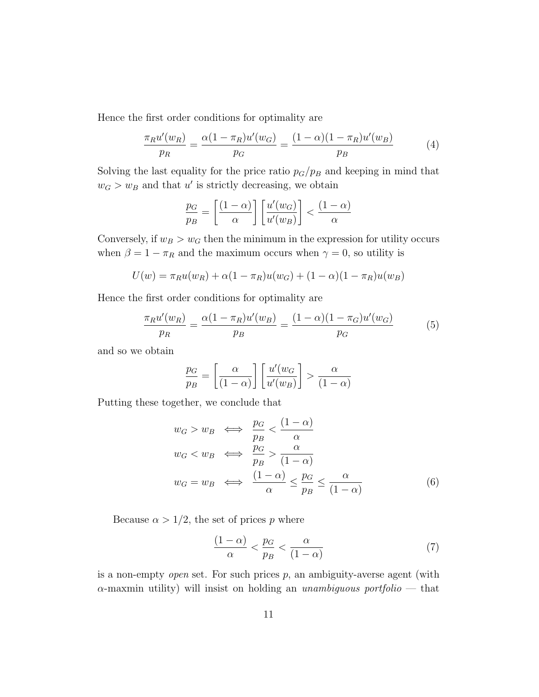Hence the first order conditions for optimality are

$$
\frac{\pi_R u'(w_R)}{p_R} = \frac{\alpha (1 - \pi_R) u'(w_G)}{p_G} = \frac{(1 - \alpha)(1 - \pi_R) u'(w_B)}{p_B} \tag{4}
$$

Solving the last equality for the price ratio  $p_G/p_B$  and keeping in mind that  $w_G > w_B$  and that u' is strictly decreasing, we obtain

$$
\frac{p_G}{p_B} = \left[\frac{(1-\alpha)}{\alpha}\right] \left[\frac{u'(w_G)}{u'(w_B)}\right] < \frac{(1-\alpha)}{\alpha}
$$

Conversely, if  $w_B > w_G$  then the minimum in the expression for utility occurs when  $\beta = 1 - \pi_R$  and the maximum occurs when  $\gamma = 0$ , so utility is

$$
U(w) = \pi_R u(w_R) + \alpha (1 - \pi_R) u(w_G) + (1 - \alpha)(1 - \pi_R) u(w_B)
$$

Hence the first order conditions for optimality are

$$
\frac{\pi_R u'(w_R)}{p_R} = \frac{\alpha (1 - \pi_R) u'(w_B)}{p_B} = \frac{(1 - \alpha)(1 - \pi_G) u'(w_G)}{p_G} \tag{5}
$$

and so we obtain

$$
\frac{p_G}{p_B} = \left[\frac{\alpha}{(1-\alpha)}\right] \left[\frac{u'(w_G)}{u'(w_B)}\right] > \frac{\alpha}{(1-\alpha)}
$$

Putting these together, we conclude that

$$
w_G > w_B \iff \frac{p_G}{p_B} < \frac{(1 - \alpha)}{\alpha}
$$
\n
$$
w_G < w_B \iff \frac{p_G}{p_B} > \frac{\alpha}{(1 - \alpha)}
$$
\n
$$
w_G = w_B \iff \frac{(1 - \alpha)}{\alpha} \le \frac{p_G}{p_B} \le \frac{\alpha}{(1 - \alpha)}
$$
\n
$$
(6)
$$

Because  $\alpha > 1/2$ , the set of prices p where

$$
\frac{(1-\alpha)}{\alpha} < \frac{p_G}{p_B} < \frac{\alpha}{(1-\alpha)}\tag{7}
$$

is a non-empty *open* set. For such prices  $p$ , an ambiguity-averse agent (with  $\alpha$ -maxmin utility) will insist on holding an unambiguous portfolio — that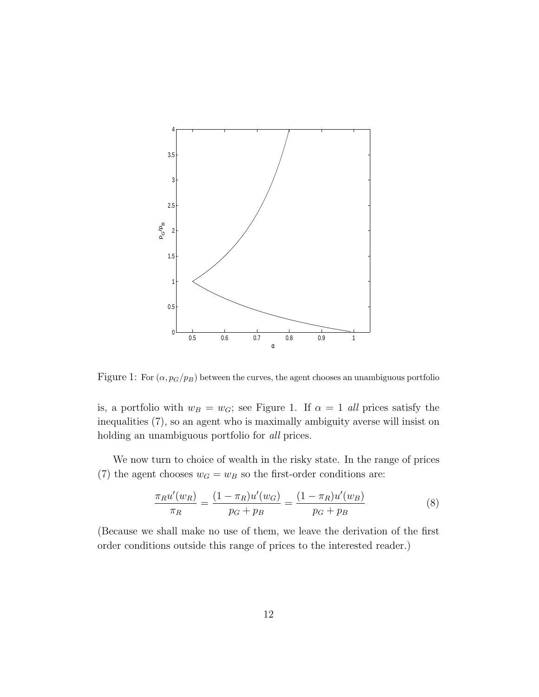

Figure 1: For  $(\alpha, p_G/p_B)$  between the curves, the agent chooses an unambiguous portfolio

is, a portfolio with  $w_B = w_G$ ; see Figure 1. If  $\alpha = 1$  all prices satisfy the inequalities (7), so an agent who is maximally ambiguity averse will insist on holding an unambiguous portfolio for *all* prices.

We now turn to choice of wealth in the risky state. In the range of prices (7) the agent chooses  $w_G = w_B$  so the first-order conditions are:

$$
\frac{\pi_R u'(w_R)}{\pi_R} = \frac{(1 - \pi_R) u'(w_G)}{p_G + p_B} = \frac{(1 - \pi_R) u'(w_B)}{p_G + p_B} \tag{8}
$$

(Because we shall make no use of them, we leave the derivation of the first order conditions outside this range of prices to the interested reader.)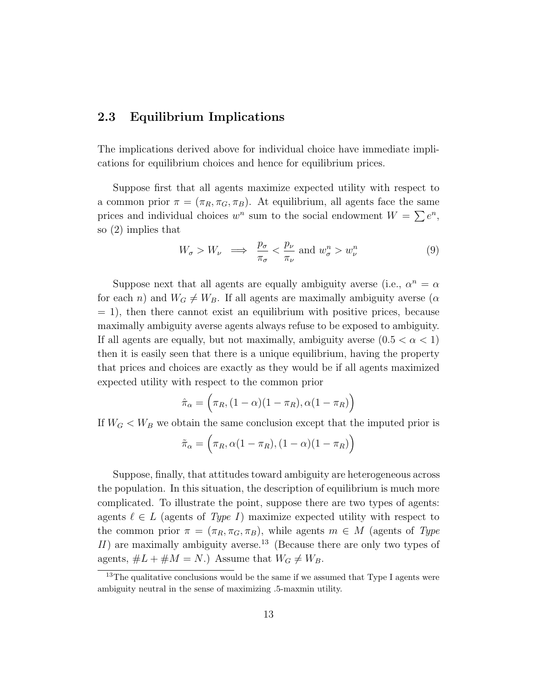#### 2.3 Equilibrium Implications

The implications derived above for individual choice have immediate implications for equilibrium choices and hence for equilibrium prices.

Suppose first that all agents maximize expected utility with respect to a common prior  $\pi = (\pi_R, \pi_G, \pi_B)$ . At equilibrium, all agents face the same prices and individual choices  $w^n$  sum to the social endowment  $W = \sum e^n$ , so (2) implies that

$$
W_{\sigma} > W_{\nu} \implies \frac{p_{\sigma}}{\pi_{\sigma}} < \frac{p_{\nu}}{\pi_{\nu}} \text{ and } w_{\sigma}^{n} > w_{\nu}^{n}
$$
 (9)

Suppose next that all agents are equally ambiguity averse (i.e.,  $\alpha^n = \alpha$ ) for each n) and  $W_G \neq W_B$ . If all agents are maximally ambiguity averse ( $\alpha$  $= 1$ , then there cannot exist an equilibrium with positive prices, because maximally ambiguity averse agents always refuse to be exposed to ambiguity. If all agents are equally, but not maximally, ambiguity averse  $(0.5 < \alpha < 1)$ then it is easily seen that there is a unique equilibrium, having the property that prices and choices are exactly as they would be if all agents maximized expected utility with respect to the common prior

$$
\hat{\pi}_{\alpha} = (\pi_R, (1 - \alpha)(1 - \pi_R), \alpha(1 - \pi_R))
$$

If  $W_G < W_B$  we obtain the same conclusion except that the imputed prior is

$$
\tilde{\pi}_{\alpha} = (\pi_R, \alpha(1 - \pi_R), (1 - \alpha)(1 - \pi_R))
$$

Suppose, finally, that attitudes toward ambiguity are heterogeneous across the population. In this situation, the description of equilibrium is much more complicated. To illustrate the point, suppose there are two types of agents: agents  $\ell \in L$  (agents of Type I) maximize expected utility with respect to the common prior  $\pi = (\pi_R, \pi_G, \pi_B)$ , while agents  $m \in M$  (agents of Type II) are maximally ambiguity averse.<sup>13</sup> (Because there are only two types of agents,  $\#L + \#M = N$ .) Assume that  $W_G \neq W_B$ .

<sup>&</sup>lt;sup>13</sup>The qualitative conclusions would be the same if we assumed that Type I agents were ambiguity neutral in the sense of maximizing .5-maxmin utility.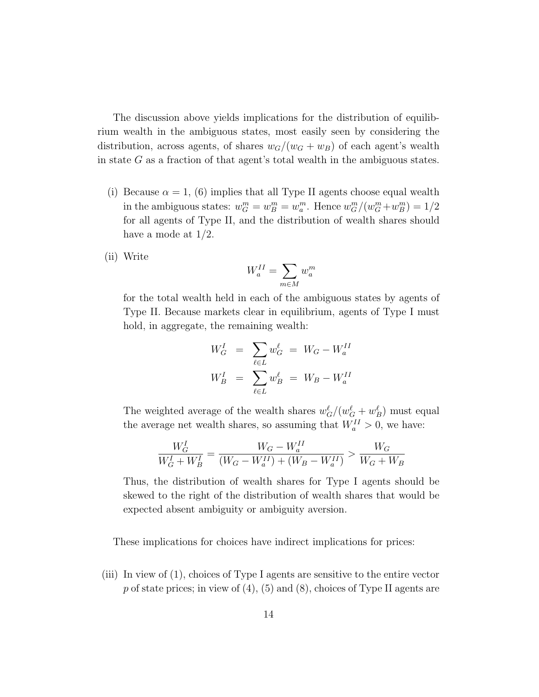The discussion above yields implications for the distribution of equilibrium wealth in the ambiguous states, most easily seen by considering the distribution, across agents, of shares  $w_G/(w_G + w_B)$  of each agent's wealth in state  $G$  as a fraction of that agent's total wealth in the ambiguous states.

- (i) Because  $\alpha = 1$ , (6) implies that all Type II agents choose equal wealth in the ambiguous states:  $w_G^m = w_B^m = w_a^m$ . Hence  $w_G^m/(w_G^m + w_B^m) = 1/2$ for all agents of Type II, and the distribution of wealth shares should have a mode at  $1/2$ .
- (ii) Write

$$
W_a^{II} = \sum_{m \in M} w_a^m
$$

for the total wealth held in each of the ambiguous states by agents of Type II. Because markets clear in equilibrium, agents of Type I must hold, in aggregate, the remaining wealth:

$$
W_G^I = \sum_{\ell \in L} w_G^{\ell} = W_G - W_a^{II}
$$
  

$$
W_B^I = \sum_{\ell \in L} w_B^{\ell} = W_B - W_a^{II}
$$

The weighted average of the wealth shares  $w_G^{\ell}/(w_G^{\ell} + w_B^{\ell})$  must equal the average net wealth shares, so assuming that  $W_a^{II} > 0$ , we have:

$$
\frac{W_G^I}{W_G^I + W_B^I} = \frac{W_G - W_a^{II}}{(W_G - W_a^{II}) + (W_B - W_a^{II})} > \frac{W_G}{W_G + W_B}
$$

Thus, the distribution of wealth shares for Type I agents should be skewed to the right of the distribution of wealth shares that would be expected absent ambiguity or ambiguity aversion.

These implications for choices have indirect implications for prices:

(iii) In view of (1), choices of Type I agents are sensitive to the entire vector p of state prices; in view of  $(4)$ ,  $(5)$  and  $(8)$ , choices of Type II agents are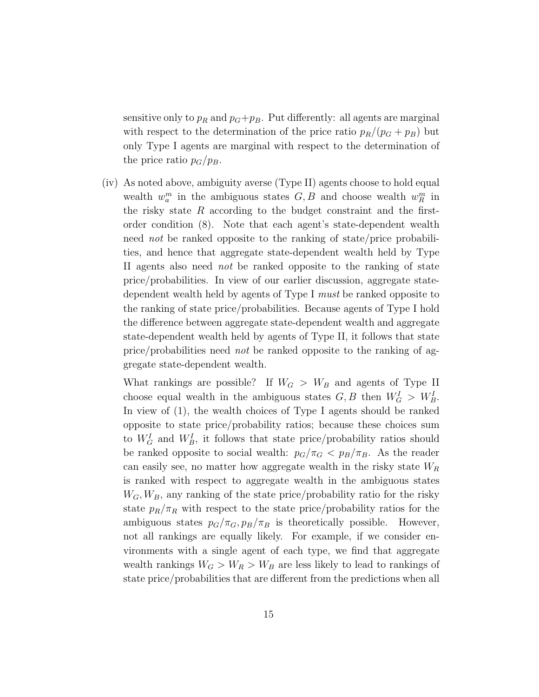sensitive only to  $p_R$  and  $p_G+p_B$ . Put differently: all agents are marginal with respect to the determination of the price ratio  $p_R/(p_G + p_B)$  but only Type I agents are marginal with respect to the determination of the price ratio  $p_G/p_B$ .

(iv) As noted above, ambiguity averse (Type II) agents choose to hold equal wealth  $w_a^m$  in the ambiguous states  $G, B$  and choose wealth  $w_R^m$  in the risky state  $R$  according to the budget constraint and the firstorder condition (8). Note that each agent's state-dependent wealth need not be ranked opposite to the ranking of state/price probabilities, and hence that aggregate state-dependent wealth held by Type II agents also need not be ranked opposite to the ranking of state price/probabilities. In view of our earlier discussion, aggregate statedependent wealth held by agents of Type I must be ranked opposite to the ranking of state price/probabilities. Because agents of Type I hold the difference between aggregate state-dependent wealth and aggregate state-dependent wealth held by agents of Type II, it follows that state price/probabilities need not be ranked opposite to the ranking of aggregate state-dependent wealth.

What rankings are possible? If  $W_G > W_B$  and agents of Type II choose equal wealth in the ambiguous states  $G, B$  then  $W_G^I > W_B^I$ . In view of (1), the wealth choices of Type I agents should be ranked opposite to state price/probability ratios; because these choices sum to  $W_G^I$  and  $W_B^I$ , it follows that state price/probability ratios should be ranked opposite to social wealth:  $p_G/\pi_G < p_B/\pi_B$ . As the reader can easily see, no matter how aggregate wealth in the risky state  $W_R$ is ranked with respect to aggregate wealth in the ambiguous states  $W_G, W_B$ , any ranking of the state price/probability ratio for the risky state  $p_R/\pi_R$  with respect to the state price/probability ratios for the ambiguous states  $p_G/\pi_G$ ,  $p_B/\pi_B$  is theoretically possible. However, not all rankings are equally likely. For example, if we consider environments with a single agent of each type, we find that aggregate wealth rankings  $W_G > W_R > W_B$  are less likely to lead to rankings of state price/probabilities that are different from the predictions when all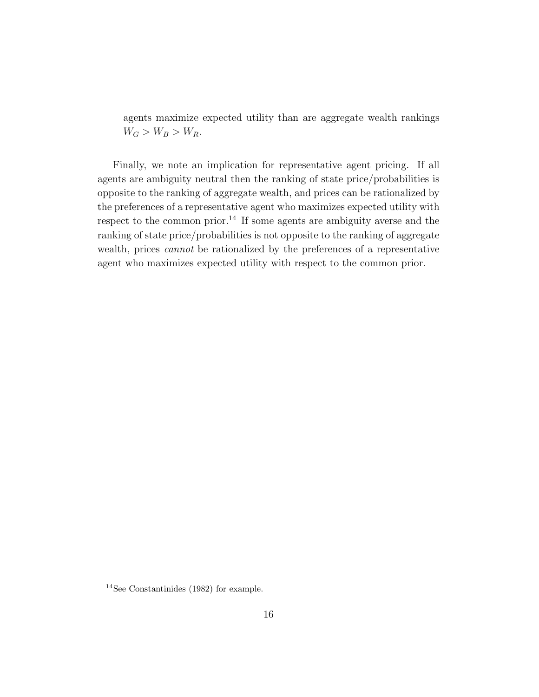agents maximize expected utility than are aggregate wealth rankings  $W_G > W_B > W_R$ .

Finally, we note an implication for representative agent pricing. If all agents are ambiguity neutral then the ranking of state price/probabilities is opposite to the ranking of aggregate wealth, and prices can be rationalized by the preferences of a representative agent who maximizes expected utility with respect to the common prior.<sup>14</sup> If some agents are ambiguity averse and the ranking of state price/probabilities is not opposite to the ranking of aggregate wealth, prices cannot be rationalized by the preferences of a representative agent who maximizes expected utility with respect to the common prior.

 $14$ See Constantinides (1982) for example.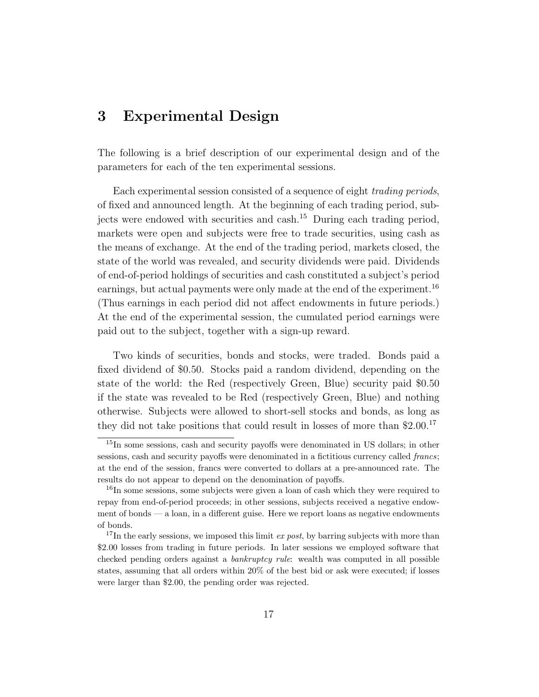### 3 Experimental Design

The following is a brief description of our experimental design and of the parameters for each of the ten experimental sessions.

Each experimental session consisted of a sequence of eight *trading periods*, of fixed and announced length. At the beginning of each trading period, subjects were endowed with securities and cash.<sup>15</sup> During each trading period, markets were open and subjects were free to trade securities, using cash as the means of exchange. At the end of the trading period, markets closed, the state of the world was revealed, and security dividends were paid. Dividends of end-of-period holdings of securities and cash constituted a subject's period earnings, but actual payments were only made at the end of the experiment.<sup>16</sup> (Thus earnings in each period did not affect endowments in future periods.) At the end of the experimental session, the cumulated period earnings were paid out to the subject, together with a sign-up reward.

Two kinds of securities, bonds and stocks, were traded. Bonds paid a fixed dividend of \$0.50. Stocks paid a random dividend, depending on the state of the world: the Red (respectively Green, Blue) security paid \$0.50 if the state was revealed to be Red (respectively Green, Blue) and nothing otherwise. Subjects were allowed to short-sell stocks and bonds, as long as they did not take positions that could result in losses of more than \$2.00.<sup>17</sup>

<sup>&</sup>lt;sup>15</sup>In some sessions, cash and security payoffs were denominated in US dollars; in other sessions, cash and security payoffs were denominated in a fictitious currency called francs; at the end of the session, francs were converted to dollars at a pre-announced rate. The results do not appear to depend on the denomination of payoffs.

<sup>&</sup>lt;sup>16</sup>In some sessions, some subjects were given a loan of cash which they were required to repay from end-of-period proceeds; in other sessions, subjects received a negative endowment of bonds — a loan, in a different guise. Here we report loans as negative endowments of bonds.

<sup>&</sup>lt;sup>17</sup>In the early sessions, we imposed this limit *ex post*, by barring subjects with more than \$2.00 losses from trading in future periods. In later sessions we employed software that checked pending orders against a bankruptcy rule: wealth was computed in all possible states, assuming that all orders within 20% of the best bid or ask were executed; if losses were larger than \$2.00, the pending order was rejected.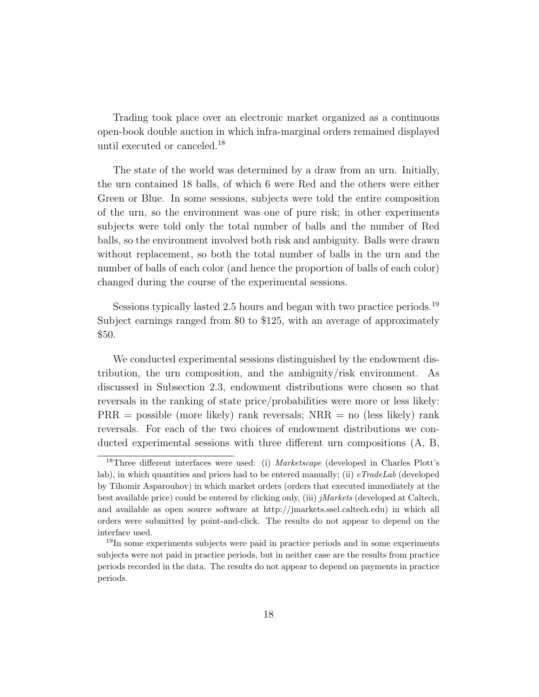Trading took place over an electronic market organized as a continuous open-book double auction in which infra-marginal orders remained displayed until executed or canceled.<sup>18</sup>

The state of the world was determined by a draw from an urn. Initially, the urn contained 18 balls, of which 6 were Red and the others were either Green or Blue. In some sessions, subjects were told the entire composition of the urn, so the environment was one of pure risk; in other experiments subjects were told only the total number of balls and the number of Red balls, so the environment involved both risk and ambiguity. Balls were drawn without replacement, so both the total number of balls in the urn and the number of balls of each color (and hence the proportion of balls of each color) changed during the course of the experimental sessions.

Sessions typically lasted 2.5 hours and began with two practice periods.<sup>19</sup> Subject earnings ranged from \$0 to \$125, with an average of approximately \$50.

We conducted experimental sessions distinguished by the endowment distribution, the urn composition, and the ambiguity/risk environment. As discussed in Subsection 2.3, endowment distributions were chosen so that reversals in the ranking of state price/probabilities were more or less likely:  $PRR =$  possible (more likely) rank reversals;  $NRR =$  no (less likely) rank reversals. For each of the two choices of endowment distributions we conducted experimental sessions with three different urn compositions (A, B,

<sup>&</sup>lt;sup>18</sup>Three different interfaces were used: (i) Marketscape (developed in Charles Plott's lab), in which quantities and prices had to be entered manually; (ii)  $eTradeLab$  (developed by Tihomir Asparouhov) in which market orders (orders that executed immediately at the best available price) could be entered by clicking only, (iii) jMarkets (developed at Caltech, and available as open source software at http://jmarkets.ssel.caltech.edu) in which all orders were submitted by point-and-click. The results do not appear to depend on the interface used.

<sup>19</sup>In some experiments subjects were paid in practice periods and in some experiments subjects were not paid in practice periods, but in neither case are the results from practice periods recorded in the data. The results do not appear to depend on payments in practice periods.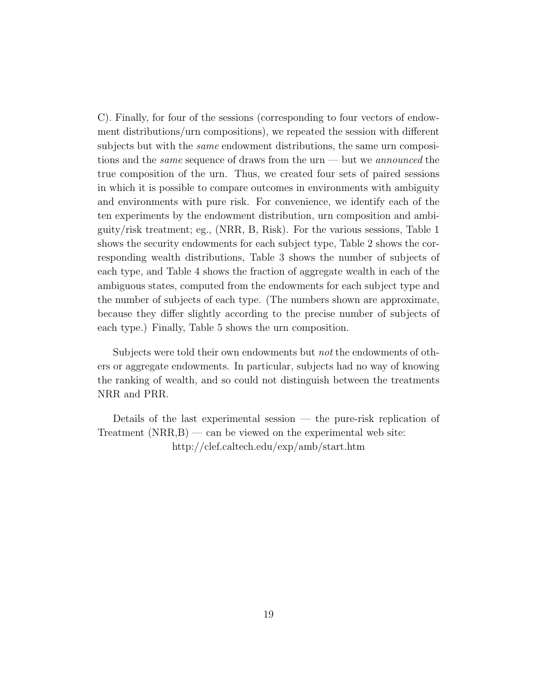C). Finally, for four of the sessions (corresponding to four vectors of endowment distributions/urn compositions), we repeated the session with different subjects but with the *same* endowment distributions, the same urn compositions and the *same* sequence of draws from the urn — but we *announced* the true composition of the urn. Thus, we created four sets of paired sessions in which it is possible to compare outcomes in environments with ambiguity and environments with pure risk. For convenience, we identify each of the ten experiments by the endowment distribution, urn composition and ambiguity/risk treatment; eg., (NRR, B, Risk). For the various sessions, Table 1 shows the security endowments for each subject type, Table 2 shows the corresponding wealth distributions, Table 3 shows the number of subjects of each type, and Table 4 shows the fraction of aggregate wealth in each of the ambiguous states, computed from the endowments for each subject type and the number of subjects of each type. (The numbers shown are approximate, because they differ slightly according to the precise number of subjects of each type.) Finally, Table 5 shows the urn composition.

Subjects were told their own endowments but *not* the endowments of others or aggregate endowments. In particular, subjects had no way of knowing the ranking of wealth, and so could not distinguish between the treatments NRR and PRR.

Details of the last experimental session — the pure-risk replication of Treatment  $(NRR, B)$  — can be viewed on the experimental web site: http://clef.caltech.edu/exp/amb/start.htm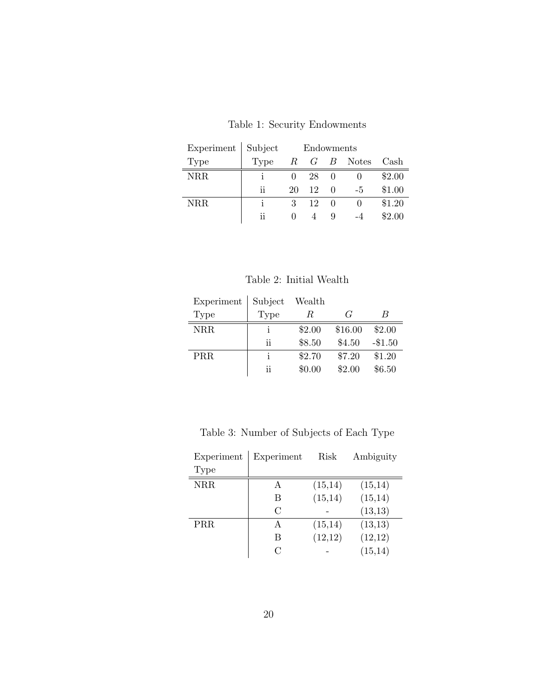| Experiment | Subject | Endowments   |    |   |                   |        |
|------------|---------|--------------|----|---|-------------------|--------|
| Type       | Type    |              |    |   | $R$ $G$ $B$ Notes | Cash   |
| NRR        |         |              | 28 | 0 |                   | \$2.00 |
|            | ij      | 20           | 12 | 0 | $-5$              | \$1.00 |
| NRR        |         | 3            | 12 | 0 |                   | \$1.20 |
|            | ij      | $\mathbf{0}$ |    | Q |                   | \$2.00 |

Table 1: Security Endowments

Table 2: Initial Wealth

| Experiment | Subject | Wealth |                        |           |
|------------|---------|--------|------------------------|-----------|
| Type       | Type    | R      | $\mathcal{C}^{\prime}$ | B         |
| <b>NRR</b> |         | \$2.00 | \$16.00                | \$2.00    |
|            | ij      | \$8.50 | \$4.50                 | $-\$1.50$ |
| PRR        |         | \$2.70 | \$7.20                 | \$1.20    |
|            | ii      | \$0.00 | \$2.00                 | \$6.50    |

Table 3: Number of Subjects of Each Type

| Experiment | Experiment    | Risk     | Ambiguity |
|------------|---------------|----------|-----------|
| Type       |               |          |           |
| <b>NRR</b> | А             | (15,14)  | (15,14)   |
|            | В             | (15, 14) | (15, 14)  |
|            | $\mathcal{C}$ |          | (13, 13)  |
| <b>PRR</b> | А             | (15,14)  | (13, 13)  |
|            | В             | (12,12)  | (12,12)   |
|            |               |          | (15, 14)  |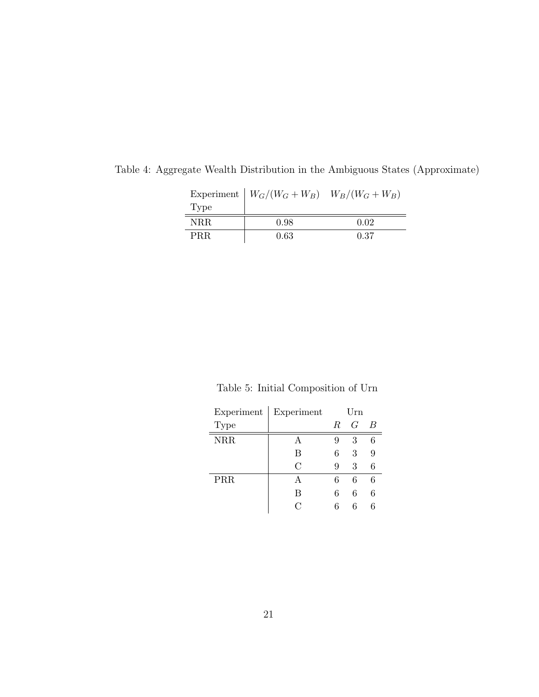|      | Experiment $W_G/(W_G+W_B)$ $W_B/(W_G+W_B)$ |      |
|------|--------------------------------------------|------|
| Type |                                            |      |
| NRR. | 0.98                                       | 0.02 |
| PRR. | 0.63                                       | 0.37 |

Table 4: Aggregate Wealth Distribution in the Ambiguous States (Approximate)

Table 5: Initial Composition of Urn

| Experiment | Experiment    | Urn |   |   |
|------------|---------------|-----|---|---|
| Type       |               | R   | G | B |
| <b>NRR</b> | A             | 9   | 3 | 6 |
|            | B             | 6   | 3 |   |
|            | $\mathcal{C}$ | 9   | 3 | 6 |
| PRR        | А             | 6   | 6 | 6 |
|            | B             | 6   | 6 | 6 |
|            | $\cap$        | 6   | 6 | ճ |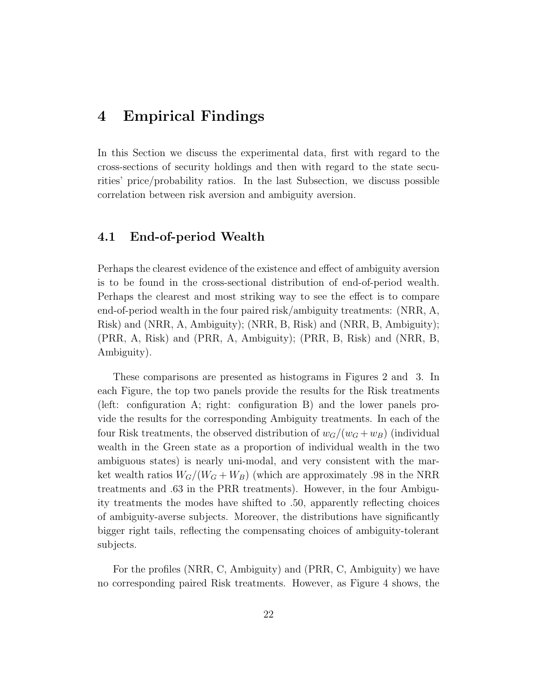### 4 Empirical Findings

In this Section we discuss the experimental data, first with regard to the cross-sections of security holdings and then with regard to the state securities' price/probability ratios. In the last Subsection, we discuss possible correlation between risk aversion and ambiguity aversion.

#### 4.1 End-of-period Wealth

Perhaps the clearest evidence of the existence and effect of ambiguity aversion is to be found in the cross-sectional distribution of end-of-period wealth. Perhaps the clearest and most striking way to see the effect is to compare end-of-period wealth in the four paired risk/ambiguity treatments: (NRR, A, Risk) and (NRR, A, Ambiguity); (NRR, B, Risk) and (NRR, B, Ambiguity); (PRR, A, Risk) and (PRR, A, Ambiguity); (PRR, B, Risk) and (NRR, B, Ambiguity).

These comparisons are presented as histograms in Figures 2 and 3. In each Figure, the top two panels provide the results for the Risk treatments (left: configuration A; right: configuration B) and the lower panels provide the results for the corresponding Ambiguity treatments. In each of the four Risk treatments, the observed distribution of  $w_G/(w_G + w_B)$  (individual wealth in the Green state as a proportion of individual wealth in the two ambiguous states) is nearly uni-modal, and very consistent with the market wealth ratios  $W_G/(W_G + W_B)$  (which are approximately .98 in the NRR treatments and .63 in the PRR treatments). However, in the four Ambiguity treatments the modes have shifted to .50, apparently reflecting choices of ambiguity-averse subjects. Moreover, the distributions have significantly bigger right tails, reflecting the compensating choices of ambiguity-tolerant subjects.

For the profiles (NRR, C, Ambiguity) and (PRR, C, Ambiguity) we have no corresponding paired Risk treatments. However, as Figure 4 shows, the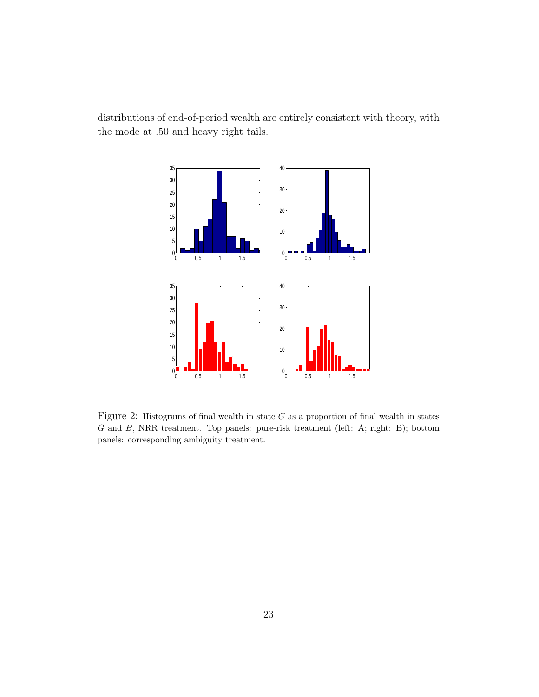distributions of end-of-period wealth are entirely consistent with theory, with the mode at .50 and heavy right tails.



Figure 2: Histograms of final wealth in state  $G$  as a proportion of final wealth in states G and B, NRR treatment. Top panels: pure-risk treatment (left: A; right: B); bottom panels: corresponding ambiguity treatment.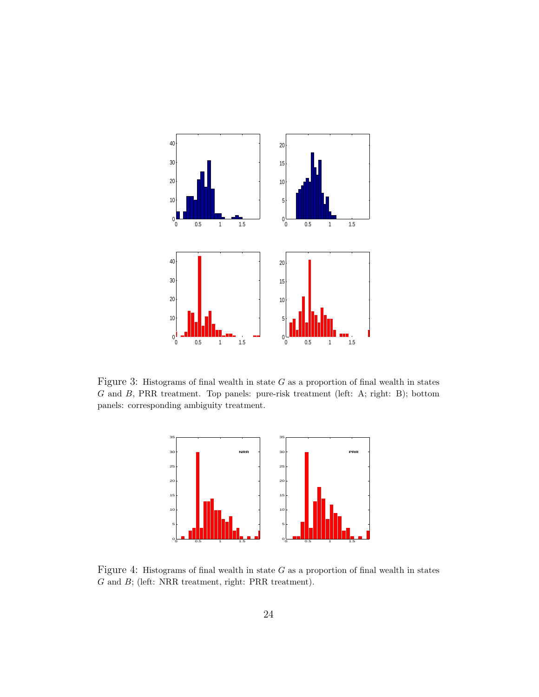

Figure 3: Histograms of final wealth in state  $G$  as a proportion of final wealth in states G and B, PRR treatment. Top panels: pure-risk treatment (left: A; right: B); bottom panels: corresponding ambiguity treatment.



Figure 4: Histograms of final wealth in state  $G$  as a proportion of final wealth in states G and B; (left: NRR treatment, right: PRR treatment).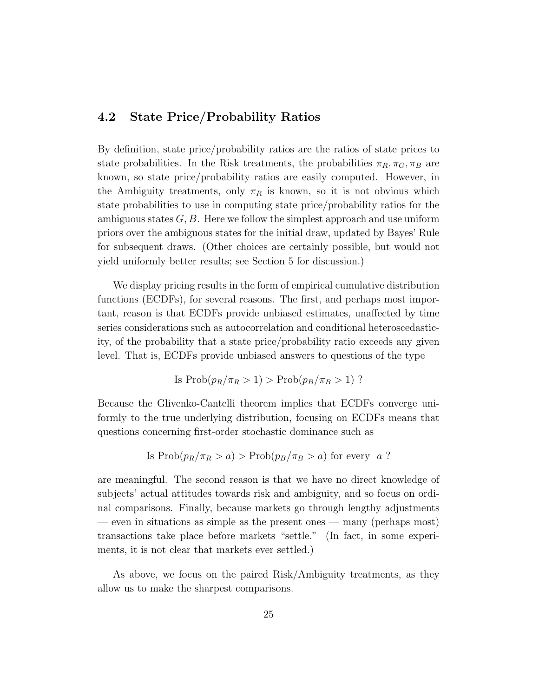#### 4.2 State Price/Probability Ratios

By definition, state price/probability ratios are the ratios of state prices to state probabilities. In the Risk treatments, the probabilities  $\pi_R, \pi_G, \pi_B$  are known, so state price/probability ratios are easily computed. However, in the Ambiguity treatments, only  $\pi_R$  is known, so it is not obvious which state probabilities to use in computing state price/probability ratios for the ambiguous states  $G, B$ . Here we follow the simplest approach and use uniform priors over the ambiguous states for the initial draw, updated by Bayes' Rule for subsequent draws. (Other choices are certainly possible, but would not yield uniformly better results; see Section 5 for discussion.)

We display pricing results in the form of empirical cumulative distribution functions (ECDFs), for several reasons. The first, and perhaps most important, reason is that ECDFs provide unbiased estimates, unaffected by time series considerations such as autocorrelation and conditional heteroscedasticity, of the probability that a state price/probability ratio exceeds any given level. That is, ECDFs provide unbiased answers to questions of the type

Is 
$$
Prob(p_R/\pi_R > 1) > Prob(p_B/\pi_B > 1)
$$
 ?

Because the Glivenko-Cantelli theorem implies that ECDFs converge uniformly to the true underlying distribution, focusing on ECDFs means that questions concerning first-order stochastic dominance such as

Is 
$$
Prob(p_R/\pi_R > a) > Prob(p_B/\pi_B > a)
$$
 for every  $a$ ?

are meaningful. The second reason is that we have no direct knowledge of subjects' actual attitudes towards risk and ambiguity, and so focus on ordinal comparisons. Finally, because markets go through lengthy adjustments — even in situations as simple as the present ones — many (perhaps most) transactions take place before markets "settle." (In fact, in some experiments, it is not clear that markets ever settled.)

As above, we focus on the paired Risk/Ambiguity treatments, as they allow us to make the sharpest comparisons.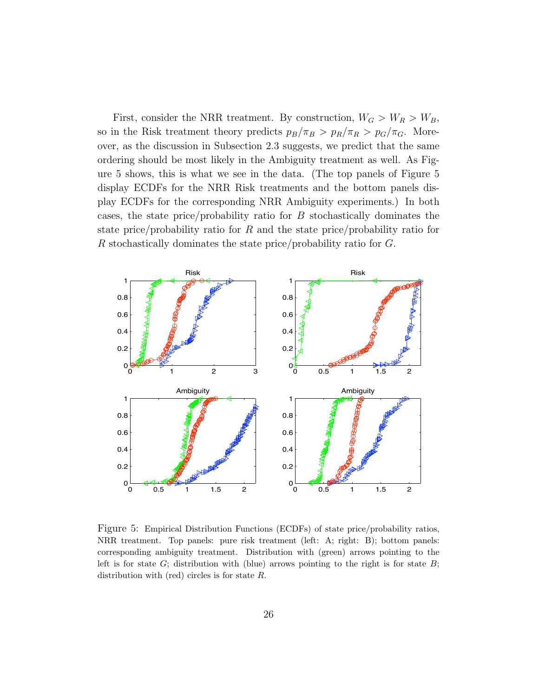First, consider the NRR treatment. By construction,  $W_G > W_R > W_B$ , so in the Risk treatment theory predicts  $p_B/\pi_B > p_R/\pi_R > p_G/\pi_G$ . Moreover, as the discussion in Subsection 2.3 suggests, we predict that the same ordering should be most likely in the Ambiguity treatment as well. As Figure 5 shows, this is what we see in the data. (The top panels of Figure 5 display ECDFs for the NRR Risk treatments and the bottom panels display ECDFs for the corresponding NRR Ambiguity experiments.) In both cases, the state price/probability ratio for B stochastically dominates the state price/probability ratio for R and the state price/probability ratio for R stochastically dominates the state price/probability ratio for G.



Figure 5: Empirical Distribution Functions (ECDFs) of state price/probability ratios, NRR treatment. Top panels: pure risk treatment (left: A; right: B); bottom panels: corresponding ambiguity treatment. Distribution with (green) arrows pointing to the left is for state  $G$ ; distribution with (blue) arrows pointing to the right is for state  $B$ ; distribution with (red) circles is for state  $R$ .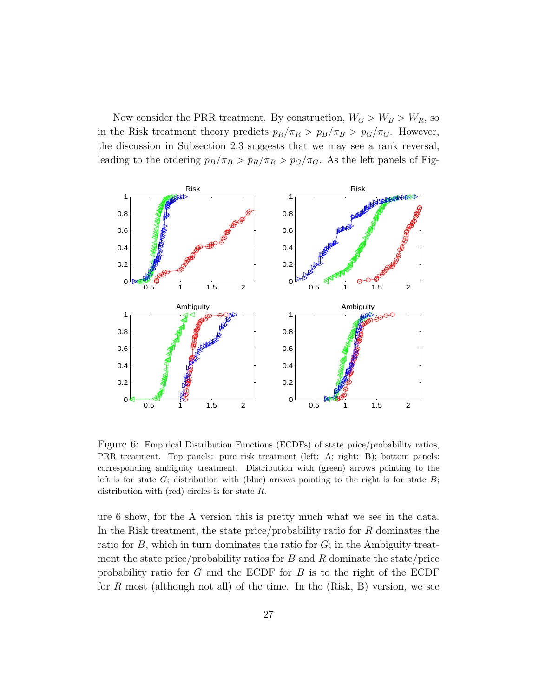Now consider the PRR treatment. By construction,  $W_G > W_B > W_R$ , so in the Risk treatment theory predicts  $p_R/\pi_R > p_B/\pi_B > p_G/\pi_G$ . However, the discussion in Subsection 2.3 suggests that we may see a rank reversal, leading to the ordering  $p_B/\pi_B > p_R/\pi_R > p_G/\pi_G$ . As the left panels of Fig-



Figure 6: Empirical Distribution Functions (ECDFs) of state price/probability ratios, PRR treatment. Top panels: pure risk treatment (left: A; right: B); bottom panels: corresponding ambiguity treatment. Distribution with (green) arrows pointing to the left is for state  $G$ ; distribution with (blue) arrows pointing to the right is for state  $B$ ; distribution with (red) circles is for state  $R$ .

ure 6 show, for the A version this is pretty much what we see in the data. In the Risk treatment, the state price/probability ratio for R dominates the ratio for  $B$ , which in turn dominates the ratio for  $G$ ; in the Ambiguity treatment the state price/probability ratios for  $B$  and  $R$  dominate the state/price probability ratio for  $G$  and the ECDF for  $B$  is to the right of the ECDF for R most (although not all) of the time. In the  $(Risk, B)$  version, we see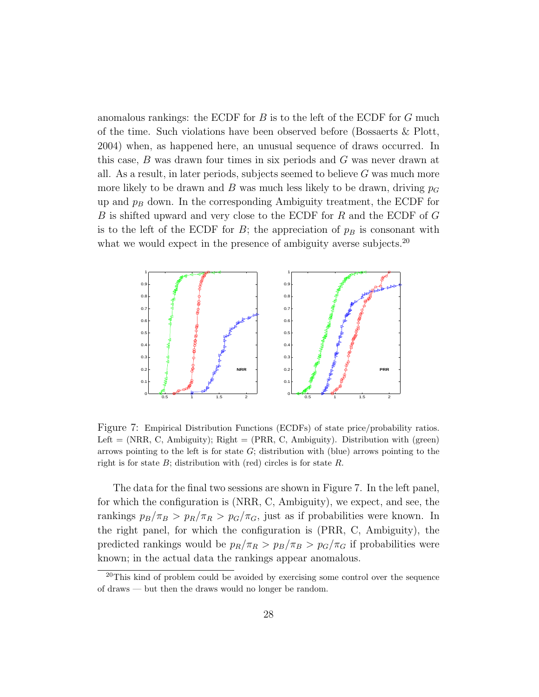anomalous rankings: the ECDF for  $B$  is to the left of the ECDF for  $G$  much of the time. Such violations have been observed before (Bossaerts & Plott, 2004) when, as happened here, an unusual sequence of draws occurred. In this case, B was drawn four times in six periods and G was never drawn at all. As a result, in later periods, subjects seemed to believe  $G$  was much more more likely to be drawn and B was much less likely to be drawn, driving  $p_G$ up and  $p_B$  down. In the corresponding Ambiguity treatment, the ECDF for B is shifted upward and very close to the ECDF for R and the ECDF of G is to the left of the ECDF for  $B$ ; the appreciation of  $p_B$  is consonant with what we would expect in the presence of ambiguity averse subjects.<sup>20</sup>



Figure 7: Empirical Distribution Functions (ECDFs) of state price/probability ratios. Left  $=$  (NRR, C, Ambiguity); Right  $=$  (PRR, C, Ambiguity). Distribution with (green) arrows pointing to the left is for state  $G$ ; distribution with (blue) arrows pointing to the right is for state  $B$ ; distribution with (red) circles is for state  $R$ .

The data for the final two sessions are shown in Figure 7. In the left panel, for which the configuration is (NRR, C, Ambiguity), we expect, and see, the rankings  $p_B/\pi_B > p_R/\pi_R > p_G/\pi_G$ , just as if probabilities were known. In the right panel, for which the configuration is (PRR, C, Ambiguity), the predicted rankings would be  $p_R/\pi_R > p_B/\pi_B > p_G/\pi_G$  if probabilities were known; in the actual data the rankings appear anomalous.

<sup>&</sup>lt;sup>20</sup>This kind of problem could be avoided by exercising some control over the sequence of draws — but then the draws would no longer be random.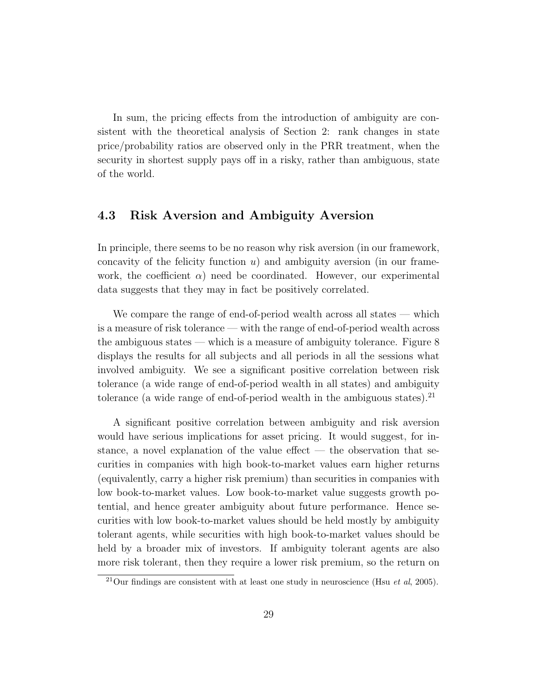In sum, the pricing effects from the introduction of ambiguity are consistent with the theoretical analysis of Section 2: rank changes in state price/probability ratios are observed only in the PRR treatment, when the security in shortest supply pays off in a risky, rather than ambiguous, state of the world.

#### 4.3 Risk Aversion and Ambiguity Aversion

In principle, there seems to be no reason why risk aversion (in our framework, concavity of the felicity function  $u$ ) and ambiguity aversion (in our framework, the coefficient  $\alpha$ ) need be coordinated. However, our experimental data suggests that they may in fact be positively correlated.

We compare the range of end-of-period wealth across all states — which is a measure of risk tolerance — with the range of end-of-period wealth across the ambiguous states — which is a measure of ambiguity tolerance. Figure 8 displays the results for all subjects and all periods in all the sessions what involved ambiguity. We see a significant positive correlation between risk tolerance (a wide range of end-of-period wealth in all states) and ambiguity tolerance (a wide range of end-of-period wealth in the ambiguous states).<sup>21</sup>

A significant positive correlation between ambiguity and risk aversion would have serious implications for asset pricing. It would suggest, for instance, a novel explanation of the value effect — the observation that securities in companies with high book-to-market values earn higher returns (equivalently, carry a higher risk premium) than securities in companies with low book-to-market values. Low book-to-market value suggests growth potential, and hence greater ambiguity about future performance. Hence securities with low book-to-market values should be held mostly by ambiguity tolerant agents, while securities with high book-to-market values should be held by a broader mix of investors. If ambiguity tolerant agents are also more risk tolerant, then they require a lower risk premium, so the return on

<sup>&</sup>lt;sup>21</sup>Our findings are consistent with at least one study in neuroscience (Hsu *et al*, 2005).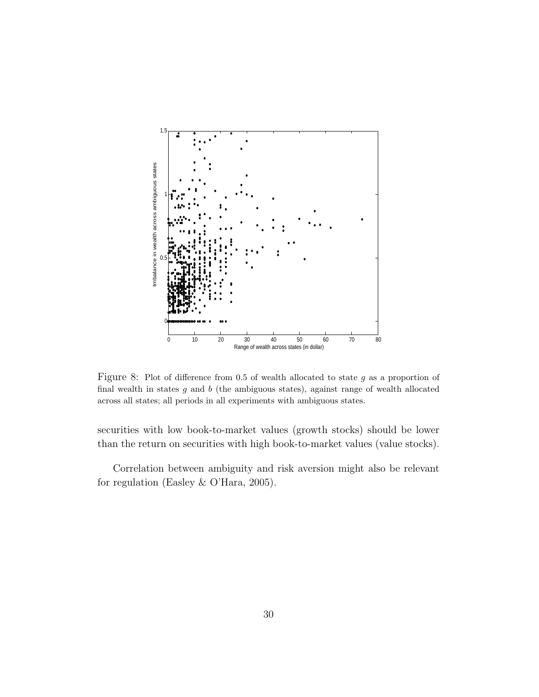

Figure 8: Plot of difference from 0.5 of wealth allocated to state  $g$  as a proportion of final wealth in states  $g$  and  $b$  (the ambiguous states), against range of wealth allocated across all states; all periods in all experiments with ambiguous states.

securities with low book-to-market values (growth stocks) should be lower than the return on securities with high book-to-market values (value stocks).

Correlation between ambiguity and risk aversion might also be relevant for regulation (Easley & O'Hara, 2005).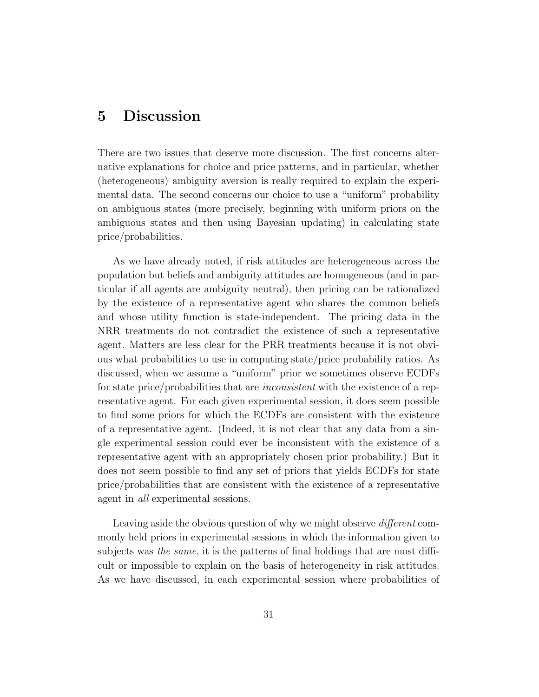### 5 Discussion

There are two issues that deserve more discussion. The first concerns alternative explanations for choice and price patterns, and in particular, whether (heterogeneous) ambiguity aversion is really required to explain the experimental data. The second concerns our choice to use a "uniform" probability on ambiguous states (more precisely, beginning with uniform priors on the ambiguous states and then using Bayesian updating) in calculating state price/probabilities.

As we have already noted, if risk attitudes are heterogeneous across the population but beliefs and ambiguity attitudes are homogeneous (and in particular if all agents are ambiguity neutral), then pricing can be rationalized by the existence of a representative agent who shares the common beliefs and whose utility function is state-independent. The pricing data in the NRR treatments do not contradict the existence of such a representative agent. Matters are less clear for the PRR treatments because it is not obvious what probabilities to use in computing state/price probability ratios. As discussed, when we assume a "uniform" prior we sometimes observe ECDFs for state price/probabilities that are *inconsistent* with the existence of a representative agent. For each given experimental session, it does seem possible to find some priors for which the ECDFs are consistent with the existence of a representative agent. (Indeed, it is not clear that any data from a single experimental session could ever be inconsistent with the existence of a representative agent with an appropriately chosen prior probability.) But it does not seem possible to find any set of priors that yields ECDFs for state price/probabilities that are consistent with the existence of a representative agent in all experimental sessions.

Leaving aside the obvious question of why we might observe *different* commonly held priors in experimental sessions in which the information given to subjects was the same, it is the patterns of final holdings that are most difficult or impossible to explain on the basis of heterogeneity in risk attitudes. As we have discussed, in each experimental session where probabilities of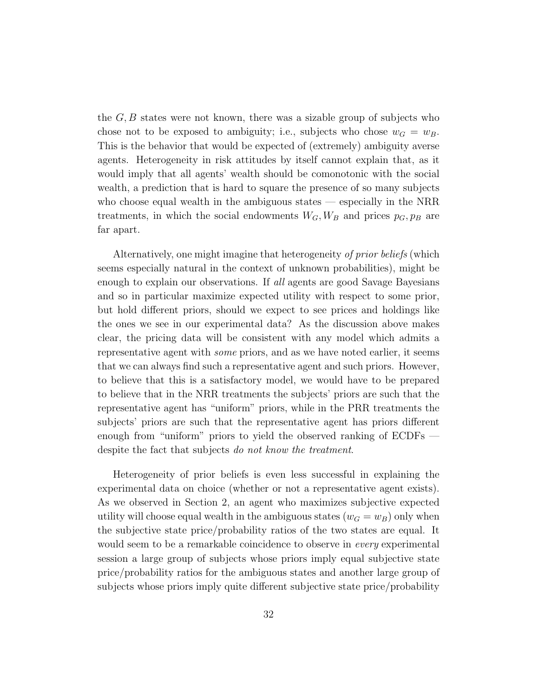the  $G, B$  states were not known, there was a sizable group of subjects who chose not to be exposed to ambiguity; i.e., subjects who chose  $w_G = w_B$ . This is the behavior that would be expected of (extremely) ambiguity averse agents. Heterogeneity in risk attitudes by itself cannot explain that, as it would imply that all agents' wealth should be comonotonic with the social wealth, a prediction that is hard to square the presence of so many subjects who choose equal wealth in the ambiguous states — especially in the NRR treatments, in which the social endowments  $W_G, W_B$  and prices  $p_G, p_B$  are far apart.

Alternatively, one might imagine that heterogeneity of prior beliefs (which seems especially natural in the context of unknown probabilities), might be enough to explain our observations. If all agents are good Savage Bayesians and so in particular maximize expected utility with respect to some prior, but hold different priors, should we expect to see prices and holdings like the ones we see in our experimental data? As the discussion above makes clear, the pricing data will be consistent with any model which admits a representative agent with some priors, and as we have noted earlier, it seems that we can always find such a representative agent and such priors. However, to believe that this is a satisfactory model, we would have to be prepared to believe that in the NRR treatments the subjects' priors are such that the representative agent has "uniform" priors, while in the PRR treatments the subjects' priors are such that the representative agent has priors different enough from "uniform" priors to yield the observed ranking of ECDFs despite the fact that subjects do not know the treatment.

Heterogeneity of prior beliefs is even less successful in explaining the experimental data on choice (whether or not a representative agent exists). As we observed in Section 2, an agent who maximizes subjective expected utility will choose equal wealth in the ambiguous states  $(w_G = w_B)$  only when the subjective state price/probability ratios of the two states are equal. It would seem to be a remarkable coincidence to observe in *every* experimental session a large group of subjects whose priors imply equal subjective state price/probability ratios for the ambiguous states and another large group of subjects whose priors imply quite different subjective state price/probability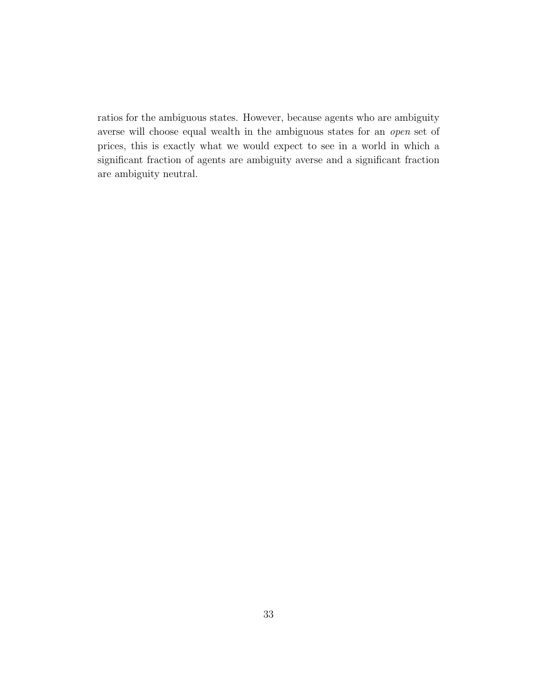ratios for the ambiguous states. However, because agents who are ambiguity averse will choose equal wealth in the ambiguous states for an open set of prices, this is exactly what we would expect to see in a world in which a significant fraction of agents are ambiguity averse and a significant fraction are ambiguity neutral.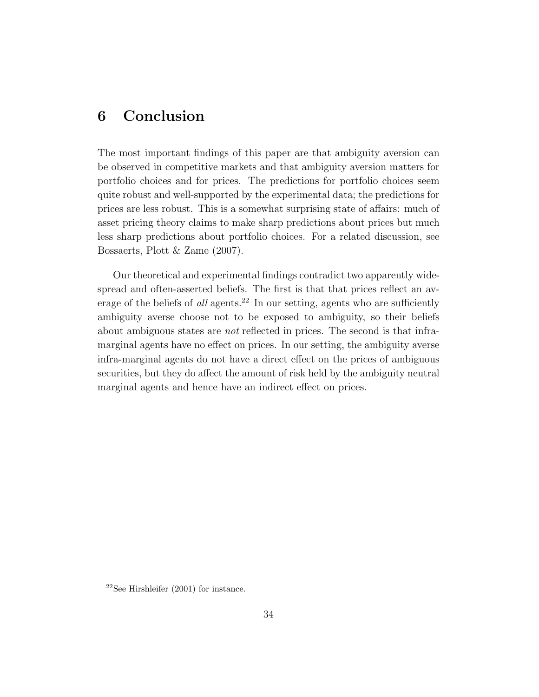## 6 Conclusion

The most important findings of this paper are that ambiguity aversion can be observed in competitive markets and that ambiguity aversion matters for portfolio choices and for prices. The predictions for portfolio choices seem quite robust and well-supported by the experimental data; the predictions for prices are less robust. This is a somewhat surprising state of affairs: much of asset pricing theory claims to make sharp predictions about prices but much less sharp predictions about portfolio choices. For a related discussion, see Bossaerts, Plott & Zame (2007).

Our theoretical and experimental findings contradict two apparently widespread and often-asserted beliefs. The first is that that prices reflect an average of the beliefs of all agents.<sup>22</sup> In our setting, agents who are sufficiently ambiguity averse choose not to be exposed to ambiguity, so their beliefs about ambiguous states are not reflected in prices. The second is that inframarginal agents have no effect on prices. In our setting, the ambiguity averse infra-marginal agents do not have a direct effect on the prices of ambiguous securities, but they do affect the amount of risk held by the ambiguity neutral marginal agents and hence have an indirect effect on prices.

 $22$ See Hirshleifer (2001) for instance.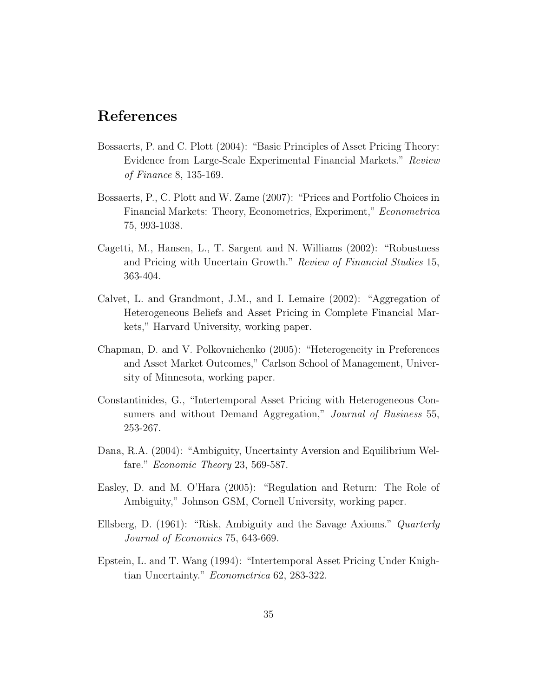### References

- Bossaerts, P. and C. Plott (2004): "Basic Principles of Asset Pricing Theory: Evidence from Large-Scale Experimental Financial Markets." Review of Finance 8, 135-169.
- Bossaerts, P., C. Plott and W. Zame (2007): "Prices and Portfolio Choices in Financial Markets: Theory, Econometrics, Experiment," Econometrica 75, 993-1038.
- Cagetti, M., Hansen, L., T. Sargent and N. Williams (2002): "Robustness and Pricing with Uncertain Growth." Review of Financial Studies 15, 363-404.
- Calvet, L. and Grandmont, J.M., and I. Lemaire (2002): "Aggregation of Heterogeneous Beliefs and Asset Pricing in Complete Financial Markets," Harvard University, working paper.
- Chapman, D. and V. Polkovnichenko (2005): "Heterogeneity in Preferences and Asset Market Outcomes," Carlson School of Management, University of Minnesota, working paper.
- Constantinides, G., "Intertemporal Asset Pricing with Heterogeneous Consumers and without Demand Aggregation," *Journal of Business* 55, 253-267.
- Dana, R.A. (2004): "Ambiguity, Uncertainty Aversion and Equilibrium Welfare." Economic Theory 23, 569-587.
- Easley, D. and M. O'Hara (2005): "Regulation and Return: The Role of Ambiguity," Johnson GSM, Cornell University, working paper.
- Ellsberg, D. (1961): "Risk, Ambiguity and the Savage Axioms." Quarterly Journal of Economics 75, 643-669.
- Epstein, L. and T. Wang (1994): "Intertemporal Asset Pricing Under Knightian Uncertainty." Econometrica 62, 283-322.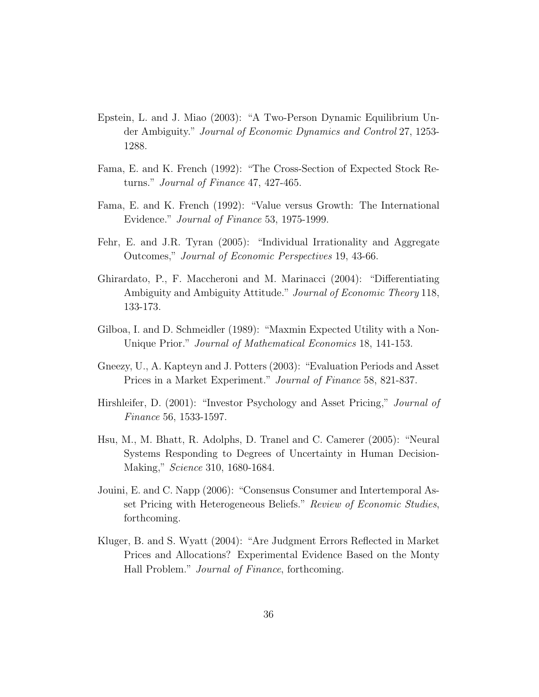- Epstein, L. and J. Miao (2003): "A Two-Person Dynamic Equilibrium Under Ambiguity." Journal of Economic Dynamics and Control 27, 1253- 1288.
- Fama, E. and K. French (1992): "The Cross-Section of Expected Stock Returns." Journal of Finance 47, 427-465.
- Fama, E. and K. French (1992): "Value versus Growth: The International Evidence." Journal of Finance 53, 1975-1999.
- Fehr, E. and J.R. Tyran (2005): "Individual Irrationality and Aggregate Outcomes," Journal of Economic Perspectives 19, 43-66.
- Ghirardato, P., F. Maccheroni and M. Marinacci (2004): "Differentiating Ambiguity and Ambiguity Attitude." *Journal of Economic Theory* 118, 133-173.
- Gilboa, I. and D. Schmeidler (1989): "Maxmin Expected Utility with a Non-Unique Prior." Journal of Mathematical Economics 18, 141-153.
- Gneezy, U., A. Kapteyn and J. Potters (2003): "Evaluation Periods and Asset Prices in a Market Experiment." Journal of Finance 58, 821-837.
- Hirshleifer, D. (2001): "Investor Psychology and Asset Pricing," *Journal of* Finance 56, 1533-1597.
- Hsu, M., M. Bhatt, R. Adolphs, D. Tranel and C. Camerer (2005): "Neural Systems Responding to Degrees of Uncertainty in Human Decision-Making," Science 310, 1680-1684.
- Jouini, E. and C. Napp (2006): "Consensus Consumer and Intertemporal Asset Pricing with Heterogeneous Beliefs." Review of Economic Studies, forthcoming.
- Kluger, B. and S. Wyatt (2004): "Are Judgment Errors Reflected in Market Prices and Allocations? Experimental Evidence Based on the Monty Hall Problem." Journal of Finance, forthcoming.